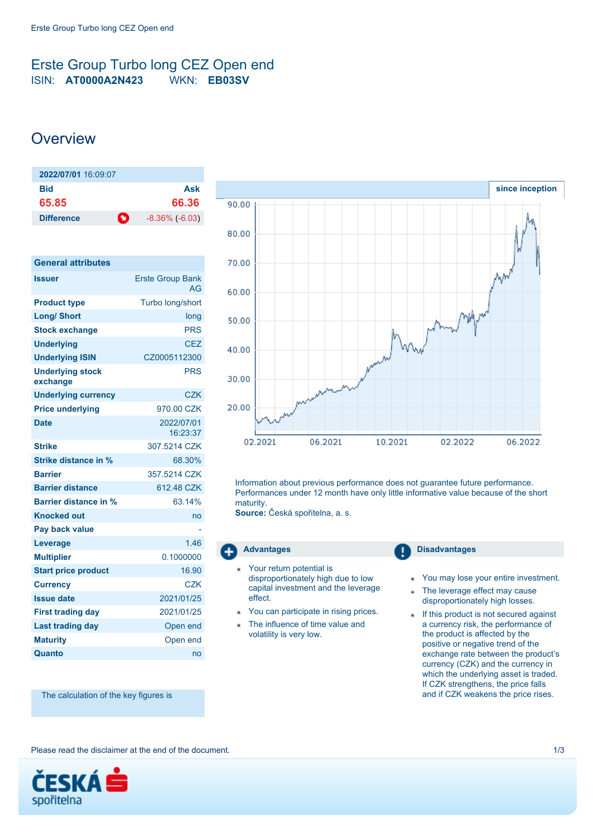## <span id="page-0-0"></span>Erste Group Turbo long CEZ Open end ISIN: **AT0000A2N423** WKN: **EB03SV**

# **Overview**

| 2022/07/01 16:09:07    |                       |
|------------------------|-----------------------|
| Bid                    | Ask                   |
| 65.85                  | 66.36                 |
| O<br><b>Difference</b> | $-8.36\%$ ( $-6.03$ ) |

| <b>General attributes</b>           |                                      |
|-------------------------------------|--------------------------------------|
| <b>Issuer</b>                       | <b>Erste Group Bank</b><br><b>AG</b> |
| <b>Product type</b>                 | Turbo long/short                     |
| <b>Long/ Short</b>                  | long                                 |
| <b>Stock exchange</b>               | <b>PRS</b>                           |
| <b>Underlying</b>                   | CF7                                  |
| <b>Underlying ISIN</b>              | CZ0005112300                         |
| <b>Underlying stock</b><br>exchange | <b>PRS</b>                           |
| <b>Underlying currency</b>          | <b>CZK</b>                           |
| <b>Price underlying</b>             | 970.00 CZK                           |
| <b>Date</b>                         | 2022/07/01<br>16:23:37               |
| <b>Strike</b>                       | 307.5214 CZK                         |
| Strike distance in %                | 68.30%                               |
| <b>Barrier</b>                      | 357 5214 CZK                         |
| <b>Barrier distance</b>             | 612.48 CZK                           |
| <b>Barrier distance in %</b>        | 63.14%                               |
| <b>Knocked out</b>                  | no                                   |
| <b>Pay back value</b>               |                                      |
| Leverage                            | 1.46                                 |
| <b>Multiplier</b>                   | 0.1000000                            |
| <b>Start price product</b>          | 16.90                                |
| <b>Currency</b>                     | <b>CZK</b>                           |
| <b>Issue date</b>                   | 2021/01/25                           |
| <b>First trading day</b>            | 2021/01/25                           |
| <b>Last trading day</b>             | Open end                             |
| <b>Maturity</b>                     | Open end                             |
| Quanto                              | no                                   |



Information about previous performance does not guarantee future performance. Performances under 12 month have only little informative value because of the short maturity.

**Source:** Česká spořitelna, a. s.

- Your return potential is disproportionately high due to low capital investment and the leverage effect.
- You can participate in rising prices.
- The influence of time value and volatility is very low.

**Advantages Disadvantages** 

- You may lose your entire investment.
- The leverage effect may cause ä disproportionately high losses.
- If this product is not secured against a currency risk, the performance of the product is affected by the positive or negative trend of the exchange rate between the product's currency (CZK) and the currency in which the underlying asset is traded. If CZK strengthens, the price falls and if CZK weakens the price rises.

The calculation of the key figures is

Please read the disclaimer at the end of the document. 1/3

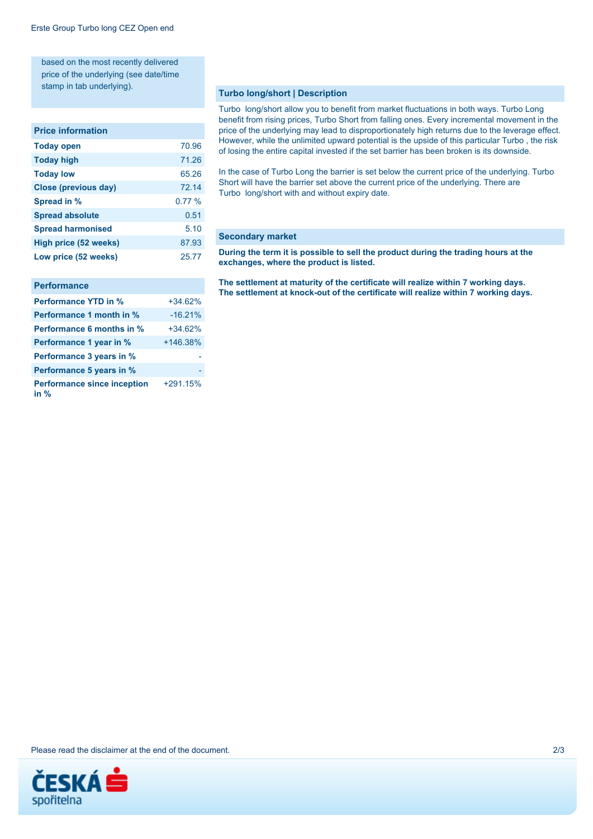based on the most recently delivered price of the underlying (see date/time stamp in tab underlying).

#### **Price information**

| <b>Today open</b>           | 70.96 |
|-----------------------------|-------|
| <b>Today high</b>           | 71.26 |
| <b>Today low</b>            | 65.26 |
| <b>Close (previous day)</b> | 72.14 |
| Spread in %                 | 0.77% |
| <b>Spread absolute</b>      | 0.51  |
| <b>Spread harmonised</b>    | 5.10  |
| High price (52 weeks)       | 87.93 |
| Low price (52 weeks)        | 25.77 |
|                             |       |

| <b>Performance</b>                           |            |
|----------------------------------------------|------------|
| <b>Performance YTD in %</b>                  | $+34.62%$  |
| Performance 1 month in %                     | $-16.21%$  |
| <b>Performance 6 months in %</b>             | $+34.62%$  |
| Performance 1 year in %                      | $+146.38%$ |
| Performance 3 years in %                     |            |
| Performance 5 years in %                     |            |
| <b>Performance since inception</b><br>in $%$ | $+291.15%$ |

#### **Turbo long/short | Description**

Turbo long/short allow you to benefit from market fluctuations in both ways. Turbo Long benefit from rising prices, Turbo Short from falling ones. Every incremental movement in the price of the underlying may lead to disproportionately high returns due to the leverage effect. However, while the unlimited upward potential is the upside of this particular Turbo , the risk of losing the entire capital invested if the set barrier has been broken is its downside.

In the case of Turbo Long the barrier is set below the current price of the underlying. Turbo Short will have the barrier set above the current price of the underlying. There are Turbo long/short with and without expiry date.

### **Secondary market**

**During the term it is possible to sell the product during the trading hours at the exchanges, where the product is listed.**

**The settlement at maturity of the certificate will realize within 7 working days. The settlement at knock-out of the certificate will realize within 7 working days.**